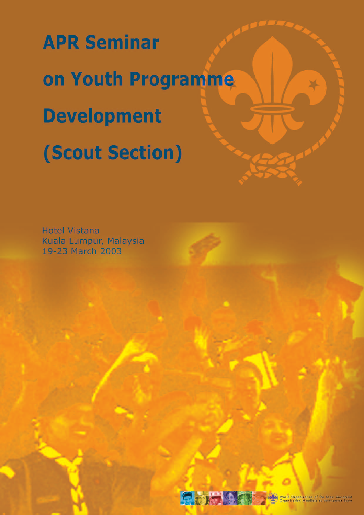**APR Seminar** on Youth Programme **Development** (Scout Section)

**Hotel Vistana** Kuala Lumpur, Malaysia 19-23 March 2003



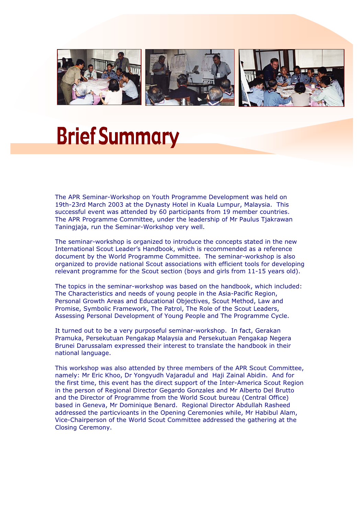

## **Brief Summary**

The APR Seminar-Workshop on Youth Programme Development was held on 19th-23rd March 2003 at the Dynasty Hotel in Kuala Lumpur, Malaysia. This successful event was attended by 60 participants from 19 member countries. The APR Programme Committee, under the leadership of Mr Paulus Tjakrawan Taningiaja, run the Seminar-Workshop very well.

The seminar-workshop is organized to introduce the concepts stated in the new International Scout Leader's Handbook, which is recommended as a reference document by the World Programme Committee. The seminar-workshop is also organized to provide national Scout associations with efficient tools for developing relevant programme for the Scout section (boys and girls from 11-15 years old).

The topics in the seminar-workshop was based on the handbook, which included: The Characteristics and needs of young people in the Asia-Pacific Region, Personal Growth Areas and Educational Objectives, Scout Method, Law and Promise, Symbolic Framework, The Patrol, The Role of the Scout Leaders, Assessing Personal Development of Young People and The Programme Cycle.

It turned out to be a very purposeful seminar-workshop. In fact, Gerakan Pramuka, Persekutuan Pengakap Malaysia and Persekutuan Pengakap Negera Brunei Darussalam expressed their interest to translate the handbook in their national language.

This workshop was also attended by three members of the APR Scout Committee, namely: Mr Eric Khoo, Dr Yongyudh Vajaradul and Haji Zainal Abidin. And for the first time, this event has the direct support of the Inter-America Scout Region in the person of Regional Director Gegardo Gonzales and Mr Alberto Del Brutto and the Director of Programme from the World Scout bureau (Central Office) based in Geneva, Mr Dominique Benard. Regional Director Abdullah Rasheed addressed the particvioants in the Opening Ceremonies while, Mr Habibul Alam, Vice-Chairperson of the World Scout Committee addressed the gathering at the Closing Ceremony.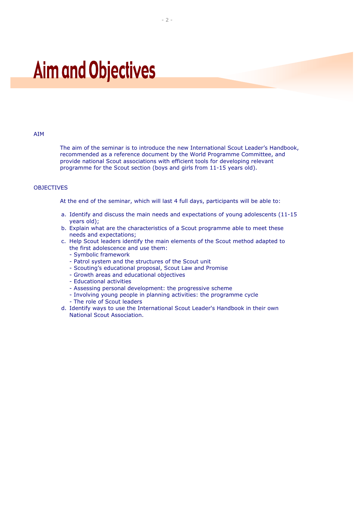## **Aim and Objectives**

#### AIM

The aim of the seminar is to introduce the new International Scout Leader's Handbook, recommended as a reference document by the World Programme Committee, and provide national Scout associations with efficient tools for developing relevant programme for the Scout section (boys and girls from 11-15 years old).

#### **OBJECTIVES**

At the end of the seminar, which will last 4 full days, participants will be able to:

- a. Identify and discuss the main needs and expectations of young adolescents (11-15 years old);
- b. Explain what are the characteristics of a Scout programme able to meet these needs and expectations;
- c. Help Scout leaders identify the main elements of the Scout method adapted to the first adolescence and use them:
	- Symbolic framework
	- Patrol system and the structures of the Scout unit
	- Scouting's educational proposal, Scout Law and Promise
	- Growth areas and educational objectives
	- Educational activities
	- Assessing personal development: the progressive scheme
	- Involving young people in planning activities: the programme cycle
	- The role of Scout leaders
- d. Identify ways to use the International Scout Leader's Handbook in their own National Scout Association.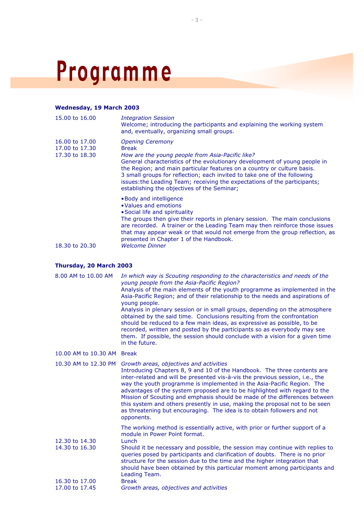# Programme

#### **Wednesday, 19 March 2003**

| 15,00 to 16,00                                     | <b>Integration Session</b><br>Welcome; introducing the participants and explaining the working system<br>and, eventually, organizing small groups.                                                                                                                                                                                                                                                                                                           |
|----------------------------------------------------|--------------------------------------------------------------------------------------------------------------------------------------------------------------------------------------------------------------------------------------------------------------------------------------------------------------------------------------------------------------------------------------------------------------------------------------------------------------|
| 16.00 to 17.00<br>17.00 to 17.30<br>17.30 to 18.30 | <b>Opening Ceremony</b><br><b>Break</b><br>How are the young people from Asia-Pacific like?<br>General characteristics of the evolutionary development of young people in<br>the Region; and main particular features on a country or culture basis.<br>3 small groups for reflection; each invited to take one of the following<br>issues: the Leading Team; receiving the expectations of the participants;<br>establishing the objectives of the Seminar; |
| 18.30 to 20.30                                     | • Body and intelligence<br>• Values and emotions<br>• Social life and spirituality<br>The groups then give their reports in plenary session. The main conclusions<br>are recorded. A trainer or the Leading Team may then reinforce those issues<br>that may appear weak or that would not emerge from the group reflection, as<br>presented in Chapter 1 of the Handbook.<br><b>Welcome Dinner</b>                                                          |

#### **Thursday, 20 March 2003**

| 8.00 AM to 10.00 AM              | In which way is Scouting responding to the characteristics and needs of the<br>young people from the Asia-Pacific Region?<br>Analysis of the main elements of the youth programme as implemented in the<br>Asia-Pacific Region; and of their relationship to the needs and aspirations of<br>young people.<br>Analysis in plenary session or in small groups, depending on the atmosphere<br>obtained by the said time. Conclusions resulting from the confrontation<br>should be reduced to a few main ideas, as expressive as possible, to be<br>recorded, written and posted by the participants so as everybody may see<br>them. If possible, the session should conclude with a vision for a given time<br>in the future. |
|----------------------------------|--------------------------------------------------------------------------------------------------------------------------------------------------------------------------------------------------------------------------------------------------------------------------------------------------------------------------------------------------------------------------------------------------------------------------------------------------------------------------------------------------------------------------------------------------------------------------------------------------------------------------------------------------------------------------------------------------------------------------------|
| 10.00 AM to 10.30 AM Break       |                                                                                                                                                                                                                                                                                                                                                                                                                                                                                                                                                                                                                                                                                                                                |
| 10.30 AM to 12.30 PM             | Growth areas, objectives and activities<br>Introducing Chapters 8, 9 and 10 of the Handbook. The three contents are<br>inter-related and will be presented vis-à-vis the previous session, i.e., the<br>way the youth programme is implemented in the Asia-Pacific Region. The<br>advantages of the system proposed are to be highlighted with regard to the<br>Mission of Scouting and emphasis should be made of the differences between<br>this system and others presently in use, making the proposal not to be seen<br>as threatening but encouraging. The idea is to obtain followers and not<br>opponents.                                                                                                             |
| 12.30 to 14.30<br>14.30 to 16.30 | The working method is essentially active, with prior or further support of a<br>module in Power Point format.<br>Lunch<br>Should it be necessary and possible, the session may continue with replies to<br>queries posed by participants and clarification of doubts. There is no prior<br>structure for the session due to the time and the higher integration that<br>should have been obtained by this particular moment among participants and<br>Leading Team.                                                                                                                                                                                                                                                            |
| 16.30 to 17.00                   | <b>Break</b>                                                                                                                                                                                                                                                                                                                                                                                                                                                                                                                                                                                                                                                                                                                   |
| 17.00 to 17.45                   | Growth areas, objectives and activities                                                                                                                                                                                                                                                                                                                                                                                                                                                                                                                                                                                                                                                                                        |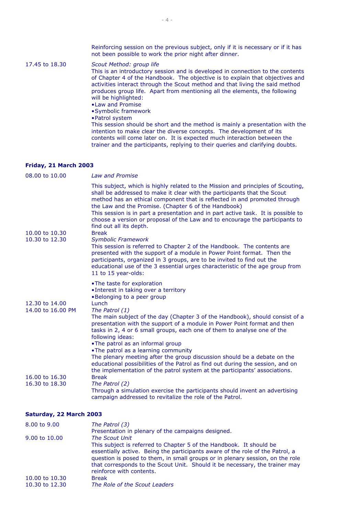Reinforcing session on the previous subject, only if it is necessary or if it has not been possible to work the prior night after dinner. 17.45 to 18.30 *Scout Method: group life* This is an introductory session and is developed in connection to the contents of Chapter 4 of the Handbook. The objective is to explain that objectives and activities interact through the Scout method and that living the said method produces group life. Apart from mentioning all the elements, the following will be highlighted: •Law and Promise •Symbolic framework •Patrol system This session should be short and the method is mainly a presentation with the intention to make clear the diverse concepts. The development of its contents will come later on. It is expected much interaction between the trainer and the participants, replying to their queries and clarifying doubts.

#### **Friday, 21 March 2003**

| 08.00 to 10.00                      | <b>Law and Promise</b>                                                                                                                                                                                                                                                                                                                                                                                                                                                                                                                                                                                                                                                                                                                                                                                                                                                                |
|-------------------------------------|---------------------------------------------------------------------------------------------------------------------------------------------------------------------------------------------------------------------------------------------------------------------------------------------------------------------------------------------------------------------------------------------------------------------------------------------------------------------------------------------------------------------------------------------------------------------------------------------------------------------------------------------------------------------------------------------------------------------------------------------------------------------------------------------------------------------------------------------------------------------------------------|
| 10.00 to 10.30<br>10.30 to 12.30    | This subject, which is highly related to the Mission and principles of Scouting,<br>shall be addressed to make it clear with the participants that the Scout<br>method has an ethical component that is reflected in and promoted through<br>the Law and the Promise. (Chapter 6 of the Handbook)<br>This session is in part a presentation and in part active task. It is possible to<br>choose a version or proposal of the Law and to encourage the participants to<br>find out all its depth.<br><b>Break</b><br><b>Symbolic Framework</b><br>This session is referred to Chapter 2 of the Handbook. The contents are<br>presented with the support of a module in Power Point format. Then the<br>participants, organized in 3 groups, are to be invited to find out the<br>educational use of the 3 essential urges characteristic of the age group from<br>11 to 15 year-olds: |
| 12.30 to 14.00<br>14.00 to 16.00 PM | •The taste for exploration<br>•Interest in taking over a territory<br>•Belonging to a peer group<br>Lunch<br>The Patrol (1)<br>The main subject of the day (Chapter 3 of the Handbook), should consist of a<br>presentation with the support of a module in Power Point format and then<br>tasks in 2, 4 or 6 small groups, each one of them to analyse one of the<br>following ideas:<br>. The patrol as an informal group<br>. The patrol as a learning community<br>The plenary meeting after the group discussion should be a debate on the                                                                                                                                                                                                                                                                                                                                       |
| 16.00 to 16.30<br>16.30 to 18.30    | educational possibilities of the Patrol as find out during the session, and on<br>the implementation of the patrol system at the participants' associations.<br><b>Break</b><br>The Patrol (2)<br>Through a simulation exercise the participants should invent an advertising<br>campaign addressed to revitalize the role of the Patrol.                                                                                                                                                                                                                                                                                                                                                                                                                                                                                                                                             |

#### **Saturday, 22 March 2003**

| 8,00 to 9,00   | The Patrol (3)                                                                |
|----------------|-------------------------------------------------------------------------------|
|                | Presentation in plenary of the campaigns designed.                            |
| 9.00 to 10.00  | <b>The Scout Unit</b>                                                         |
|                | This subject is referred to Chapter 5 of the Handbook. It should be           |
|                | essentially active. Being the participants aware of the role of the Patrol, a |
|                | question is posed to them, in small groups or in plenary session, on the role |
|                | that corresponds to the Scout Unit. Should it be necessary, the trainer may   |
|                | reinforce with contents.                                                      |
| 10.00 to 10.30 | <b>Break</b>                                                                  |
| 10.30 to 12.30 | The Role of the Scout Leaders                                                 |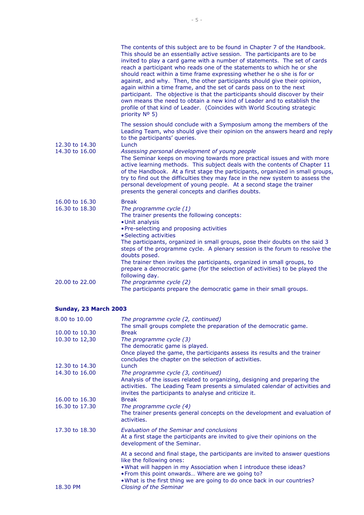|                                                    | The contents of this subject are to be found in Chapter 7 of the Handbook.<br>This should be an essentially active session. The participants are to be<br>invited to play a card game with a number of statements. The set of cards<br>reach a participant who reads one of the statements to which he or she<br>should react within a time frame expressing whether he o she is for or<br>against, and why. Then, the other participants should give their opinion,<br>again within a time frame, and the set of cards pass on to the next<br>participant. The objective is that the participants should discover by their<br>own means the need to obtain a new kind of Leader and to establish the<br>profile of that kind of Leader. (Coincides with World Scouting strategic<br>priority Nº 5) |
|----------------------------------------------------|-----------------------------------------------------------------------------------------------------------------------------------------------------------------------------------------------------------------------------------------------------------------------------------------------------------------------------------------------------------------------------------------------------------------------------------------------------------------------------------------------------------------------------------------------------------------------------------------------------------------------------------------------------------------------------------------------------------------------------------------------------------------------------------------------------|
| 12.30 to 14.30<br>14.30 to 16.00                   | The session should conclude with a Symposium among the members of the<br>Leading Team, who should give their opinion on the answers heard and reply<br>to the participants' queries.<br>Lunch<br>Assessing personal development of young people<br>The Seminar keeps on moving towards more practical issues and with more<br>active learning methods. This subject deals with the contents of Chapter 11<br>of the Handbook. At a first stage the participants, organized in small groups,<br>try to find out the difficulties they may face in the new system to assess the<br>personal development of young people. At a second stage the trainer<br>presents the general concepts and clarifies doubts.                                                                                         |
| 16.00 to 16.30<br>16.30 to 18.30<br>20.00 to 22.00 | <b>Break</b><br>The programme cycle (1)<br>The trainer presents the following concepts:<br>• Unit analysis<br>. Pre-selecting and proposing activities<br>• Selecting activities<br>The participants, organized in small groups, pose their doubts on the said 3<br>steps of the programme cycle. A plenary session is the forum to resolve the<br>doubts posed.<br>The trainer then invites the participants, organized in small groups, to<br>prepare a democratic game (for the selection of activities) to be played the<br>following day.<br>The programme cycle (2)<br>The participants prepare the democratic game in their small groups.                                                                                                                                                    |

#### **Sunday, 23 March 2003**

| 8.00 to 10.00                    | The programme cycle (2, continued)<br>The small groups complete the preparation of the democratic game.                                                                                                                                                                                                                                   |
|----------------------------------|-------------------------------------------------------------------------------------------------------------------------------------------------------------------------------------------------------------------------------------------------------------------------------------------------------------------------------------------|
| 10.00 to 10.30<br>10.30 to 12,30 | <b>Break</b><br>The programme cycle (3)<br>The democratic game is played.<br>Once played the game, the participants assess its results and the trainer<br>concludes the chapter on the selection of activities.                                                                                                                           |
| 12.30 to 14.30                   | Lunch                                                                                                                                                                                                                                                                                                                                     |
| 14.30 to 16.00                   | The programme cycle (3, continued)<br>Analysis of the issues related to organizing, designing and preparing the<br>activities. The Leading Team presents a simulated calendar of activities and<br>invites the participants to analyse and criticize it.                                                                                  |
| 16.00 to 16.30<br>16.30 to 17.30 | <b>Break</b><br>The programme cycle (4)<br>The trainer presents general concepts on the development and evaluation of<br>activities.                                                                                                                                                                                                      |
| 17.30 to 18.30                   | Evaluation of the Seminar and conclusions<br>At a first stage the participants are invited to give their opinions on the<br>development of the Seminar.                                                                                                                                                                                   |
| 18.30 PM                         | At a second and final stage, the participants are invited to answer questions<br>like the following ones:<br>. What will happen in my Association when I introduce these ideas?<br>. From this point onwards Where are we going to?<br>• What is the first thing we are going to do once back in our countries?<br>Closing of the Seminar |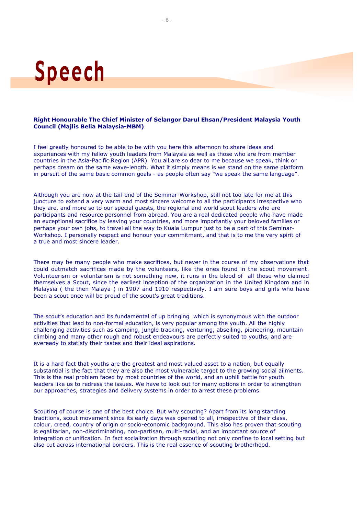# **Speech**

#### **Right Honourable The Chief Minister of Selangor Darul Ehsan/President Malaysia Youth Council (Majlis Belia Malaysia-MBM)**

I feel greatly honoured to be able to be with you here this afternoon to share ideas and experiences with my fellow youth leaders from Malaysia as well as those who are from member countries in the Asia-Pacific Region (APR). You all are so dear to me because we speak, think or perhaps dream on the same wave-length. What it simply means is we stand on the same platform in pursuit of the same basic common goals - as people often say "we speak the same language".

Although you are now at the tail-end of the Seminar-Workshop, still not too late for me at this juncture to extend a very warm and most sincere welcome to all the participants irrespective who they are, and more so to our special guests, the regional and world scout leaders who are participants and resource personnel from abroad. You are a real dedicated people who have made an exceptional sacrifice by leaving your countries, and more importantly your beloved families or perhaps your own jobs, to travel all the way to Kuala Lumpur just to be a part of this Seminar-Workshop. I personally respect and honour your commitment, and that is to me the very spirit of a true and most sincere leader.

There may be many people who make sacrifices, but never in the course of my observations that could outmatch sacrifices made by the volunteers, like the ones found in the scout movement. Volunteerism or voluntarism is not something new, it runs in the blood of all those who claimed themselves a Scout, since the earliest inception of the organization in the United Kingdom and in Malaysia ( the then Malaya ) in 1907 and 1910 respectively. I am sure boys and girls who have been a scout once will be proud of the scout's great traditions.

The scout's education and its fundamental of up bringing which is synonymous with the outdoor activities that lead to non-formal education, is very popular among the youth. All the highly challenging activities such as camping, jungle tracking, venturing, abseiling, pioneering, mountain climbing and many other rough and robust endeavours are perfectly suited to youths, and are eveready to statisfy their tastes and their ideal aspirations.

It is a hard fact that youths are the greatest and most valued asset to a nation, but equally substantial is the fact that they are also the most vulnerable target to the growing social ailments. This is the real problem faced by most countries of the world, and an uphill battle for youth leaders like us to redress the issues. We have to look out for many options in order to strengthen our approaches, strategies and delivery systems in order to arrest these problems.

Scouting of course is one of the best choice. But why scouting? Apart from its long standing traditions, scout movement since its early days was opened to all, irrespective of their class, colour, creed, country of origin or socio-economic background. This also has proven that scouting is egalitarian, non-discriminating, non-partisan, multi-racial, and an important source of integration or unification. In fact socialization through scouting not only confine to local setting but also cut across international borders. This is the real essence of scouting brotherhood.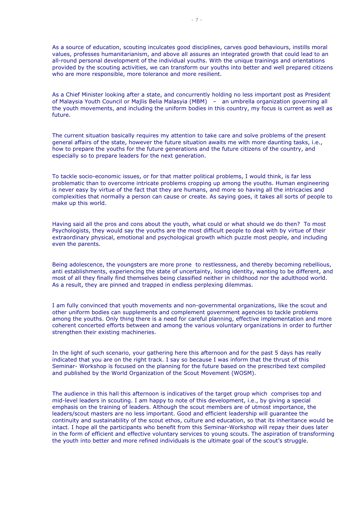As a source of education, scouting inculcates good disciplines, carves good behaviours, instills moral values, professes humanitarianism, and above all assures an integrated growth that could lead to an all-round personal development of the individual youths. With the unique trainings and orientations provided by the scouting activities, we can transform our youths into better and well prepared citizens who are more responsible, more tolerance and more resilient.

As a Chief Minister looking after a state, and concurrently holding no less important post as President of Malaysia Youth Council or Majlis Belia Malasyia (MBM) – an umbrella organization governing all the youth movements, and including the uniform bodies in this country, my focus is current as well as future.

The current situation basically requires my attention to take care and solve problems of the present general affairs of the state, however the future situation awaits me with more daunting tasks, i.e., how to prepare the youths for the future generations and the future citizens of the country, and especially so to prepare leaders for the next generation.

To tackle socio-economic issues, or for that matter political problems, I would think, is far less problematic than to overcome intricate problems cropping up among the youths. Human engineering is never easy by virtue of the fact that they are humans, and more so having all the intricacies and complexities that normally a person can cause or create. As saying goes, it takes all sorts of people to make up this world.

Having said all the pros and cons about the youth, what could or what should we do then? To most Psychologists, they would say the youths are the most difficult people to deal with by virtue of their extraordinary physical, emotional and psychological growth which puzzle most people, and including even the parents.

Being adolescence, the youngsters are more prone to restlessness, and thereby becoming rebellious, anti establishments, experiencing the state of uncertainty, losing identity, wanting to be different, and most of all they finally find themselves being classified neither in childhood nor the adulthood world. As a result, they are pinned and trapped in endless perplexing dilemmas.

I am fully convinced that youth movements and non-governmental organizations, like the scout and other uniform bodies can supplements and complement government agencies to tackle problems among the youths. Only thing there is a need for careful planning, effective implementation and more coherent concerted efforts between and among the various voluntary organizations in order to further strengthen their existing machineries.

In the light of such scenario, your gathering here this afternoon and for the past 5 days has really indicated that you are on the right track. I say so because I was inform that the thrust of this Seminar- Workshop is focused on the planning for the future based on the prescribed text compiled and published by the World Organization of the Scout Movement (WOSM).

The audience in this hall this afternoon is indicatives of the target group which comprises top and mid-level leaders in scouting. I am happy to note of this development, i.e., by giving a special emphasis on the training of leaders. Although the scout members are of utmost importance, the leaders/scout masters are no less important. Good and efficient leadership will guarantee the continuity and sustainability of the scout ethos, culture and education, so that its inheritance would be intact. I hope all the participants who benefit from this Seminar-Workshop will repay their dues later in the form of efficient and effective voluntary services to young scouts. The aspiration of transforming the youth into better and more refined individuals is the ultimate goal of the scout's struggle.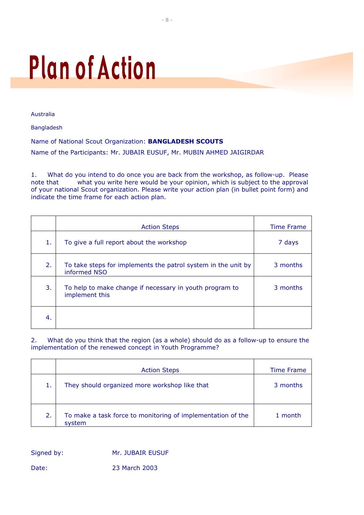# **Plan of Action**

Australia

Bangladesh

Name of National Scout Organization: **BANGLADESH SCOUTS** Name of the Participants: Mr. JUBAIR EUSUF, Mr. MUBIN AHMED JAIGIRDAR

1. What do you intend to do once you are back from the workshop, as follow-up. Please note that what you write here would be your opinion, which is subject to the approval of your national Scout organization. Please write your action plan (in bullet point form) and indicate the time frame for each action plan.

|    | <b>Action Steps</b>                                                           | Time Frame |
|----|-------------------------------------------------------------------------------|------------|
| 1. | To give a full report about the workshop                                      | 7 days     |
| 2. | To take steps for implements the patrol system in the unit by<br>informed NSO | 3 months   |
| 3. | To help to make change if necessary in youth program to<br>implement this     | 3 months   |
| 4. |                                                                               |            |

2. What do you think that the region (as a whole) should do as a follow-up to ensure the implementation of the renewed concept in Youth Programme?

|    | <b>Action Steps</b>                                                   | Time Frame |
|----|-----------------------------------------------------------------------|------------|
| 1. | They should organized more workshop like that                         | 3 months   |
| 2. | To make a task force to monitoring of implementation of the<br>system | 1 month    |

Signed by: Mr. JUBAIR EUSUF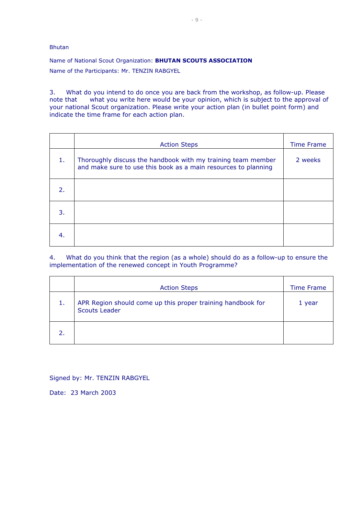Bhutan

Name of National Scout Organization: **BHUTAN SCOUTS ASSOCIATION** Name of the Participants: Mr. TENZIN RABGYEL

3. What do you intend to do once you are back from the workshop, as follow-up. Please note that what you write here would be your opinion, which is subject to the approval of your national Scout organization. Please write your action plan (in bullet point form) and indicate the time frame for each action plan.

|    | <b>Action Steps</b>                                                                                                            | <b>Time Frame</b> |
|----|--------------------------------------------------------------------------------------------------------------------------------|-------------------|
| 1. | Thoroughly discuss the handbook with my training team member<br>and make sure to use this book as a main resources to planning | 2 weeks           |
| 2. |                                                                                                                                |                   |
| 3. |                                                                                                                                |                   |
| 4. |                                                                                                                                |                   |

4. What do you think that the region (as a whole) should do as a follow-up to ensure the implementation of the renewed concept in Youth Programme?

|    | <b>Action Steps</b>                                                                 | <b>Time Frame</b> |
|----|-------------------------------------------------------------------------------------|-------------------|
| 1. | APR Region should come up this proper training handbook for<br><b>Scouts Leader</b> | 1 year            |
|    |                                                                                     |                   |

Signed by: Mr. TENZIN RABGYEL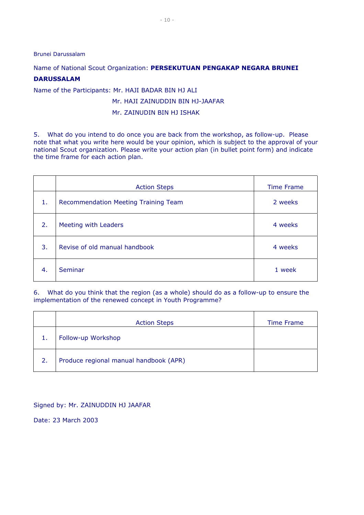Brunei Darussalam

#### Name of National Scout Organization: **PERSEKUTUAN PENGAKAP NEGARA BRUNEI**

#### **DARUSSALAM**

Name of the Participants: Mr. HAJI BADAR BIN HJ ALI

#### Mr. HAJI ZAINUDDIN BIN HJ-JAAFAR

#### Mr. ZAINUDIN BIN HJ ISHAK

5. What do you intend to do once you are back from the workshop, as follow-up. Please note that what you write here would be your opinion, which is subject to the approval of your national Scout organization. Please write your action plan (in bullet point form) and indicate the time frame for each action plan.

|    | <b>Action Steps</b>                  | <b>Time Frame</b> |
|----|--------------------------------------|-------------------|
| 1. | Recommendation Meeting Training Team | 2 weeks           |
| 2. | Meeting with Leaders                 | 4 weeks           |
| 3. | Revise of old manual handbook        | 4 weeks           |
| 4. | Seminar                              | 1 week            |

6. What do you think that the region (as a whole) should do as a follow-up to ensure the implementation of the renewed concept in Youth Programme?

|    | <b>Action Steps</b>                    | <b>Time Frame</b> |
|----|----------------------------------------|-------------------|
| 1. | Follow-up Workshop                     |                   |
| 2. | Produce regional manual handbook (APR) |                   |

Signed by: Mr. ZAINUDDIN HJ JAAFAR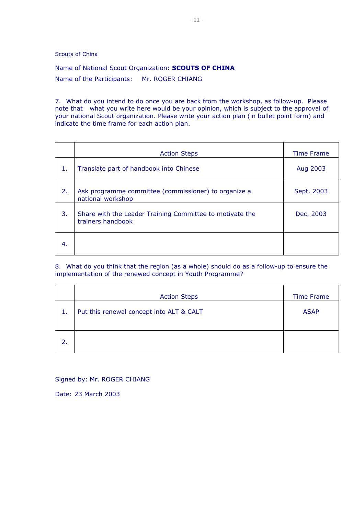Scouts of China

Name of National Scout Organization: **SCOUTS OF CHINA** Name of the Participants: Mr. ROGER CHIANG

7. What do you intend to do once you are back from the workshop, as follow-up. Please note that what you write here would be your opinion, which is subject to the approval of your national Scout organization. Please write your action plan (in bullet point form) and indicate the time frame for each action plan.

|    | <b>Action Steps</b>                                                           | <b>Time Frame</b> |
|----|-------------------------------------------------------------------------------|-------------------|
| 1. | Translate part of handbook into Chinese                                       | Aug 2003          |
| 2. | Ask programme committee (commissioner) to organize a<br>national workshop     | Sept. 2003        |
| 3. | Share with the Leader Training Committee to motivate the<br>trainers handbook | Dec. 2003         |
| 4. |                                                                               |                   |

8. What do you think that the region (as a whole) should do as a follow-up to ensure the implementation of the renewed concept in Youth Programme?

|    | <b>Action Steps</b>                      | <b>Time Frame</b> |
|----|------------------------------------------|-------------------|
| 1. | Put this renewal concept into ALT & CALT | <b>ASAP</b>       |
|    |                                          |                   |
| 2. |                                          |                   |
|    |                                          |                   |

Signed by: Mr. ROGER CHIANG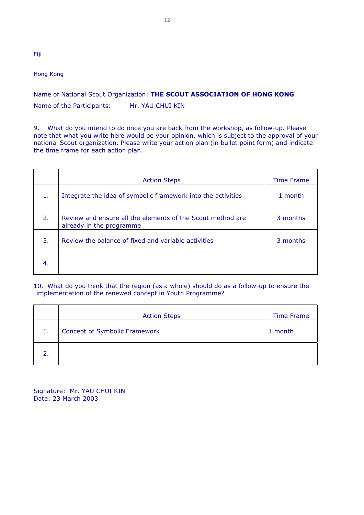#### Hong Kong

Fiji

#### Name of National Scout Organization: **THE SCOUT ASSOCIATION OF HONG KONG** Name of the Participants: Mr. YAU CHUI KIN

9. What do you intend to do once you are back from the workshop, as follow-up. Please note that what you write here would be your opinion, which is subject to the approval of your national Scout organization. Please write your action plan (in bullet point form) and indicate the time frame for each action plan.

|                  | <b>Action Steps</b>                                                                    | Time Frame |
|------------------|----------------------------------------------------------------------------------------|------------|
| 1.               | Integrate the idea of symbolic framework into the activities                           | 1 month    |
| 2.               | Review and ensure all the elements of the Scout method are<br>already in the programme | 3 months   |
| $\overline{3}$ . | Review the balance of fixed and variable activities                                    | 3 months   |
| -4.              |                                                                                        |            |

#### 10. What do you think that the region (as a whole) should do as a follow-up to ensure the implementation of the renewed concept in Youth Programme?

|    | <b>Action Steps</b>           | <b>Time Frame</b> |
|----|-------------------------------|-------------------|
| 1. | Concept of Symbolic Framework | 1 month           |
|    |                               |                   |

Signature: Mr. YAU CHUI KIN Date: 23 March 2003

- 12 -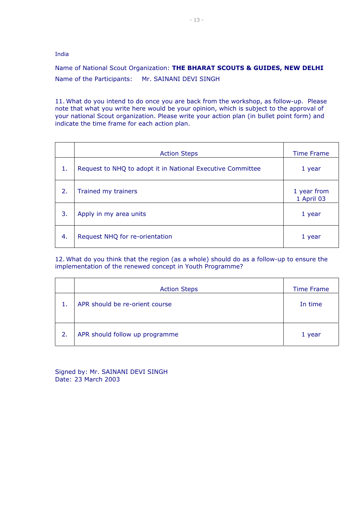India

Name of National Scout Organization: **THE BHARAT SCOUTS & GUIDES, NEW DELHI** Name of the Participants: Mr. SAINANI DEVI SINGH

11. What do you intend to do once you are back from the workshop, as follow-up. Please note that what you write here would be your opinion, which is subject to the approval of your national Scout organization. Please write your action plan (in bullet point form) and indicate the time frame for each action plan.

|    | <b>Action Steps</b>                                        | <b>Time Frame</b>         |
|----|------------------------------------------------------------|---------------------------|
| 1. | Request to NHQ to adopt it in National Executive Committee | 1 year                    |
| 2. | Trained my trainers                                        | 1 year from<br>1 April 03 |
| 3. | Apply in my area units                                     | 1 year                    |
| 4. | Request NHQ for re-orientation                             | 1 year                    |

12. What do you think that the region (as a whole) should do as a follow-up to ensure the implementation of the renewed concept in Youth Programme?

|    | <b>Action Steps</b>            | <b>Time Frame</b> |
|----|--------------------------------|-------------------|
| 1. | APR should be re-orient course | In time           |
| 2. | APR should follow up programme | 1 year            |

Signed by: Mr. SAINANI DEVI SINGH Date: 23 March 2003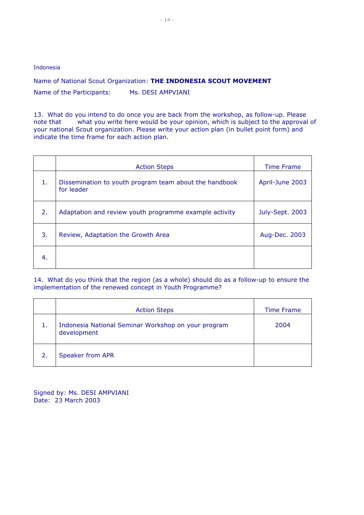Indonesia

Name of National Scout Organization: **THE INDONESIA SCOUT MOVEMENT** Name of the Participants: Ms. DESI AMPVIANI

13. What do you intend to do once you are back from the workshop, as follow-up. Please note that what you write here would be your opinion, which is subject to the approval of your national Scout organization. Please write your action plan (in bullet point form) and indicate the time frame for each action plan.

|    | <b>Action Steps</b>                                                  | <b>Time Frame</b> |
|----|----------------------------------------------------------------------|-------------------|
| 1. | Dissemination to youth program team about the handbook<br>for leader | April-June 2003   |
| 2. | Adaptation and review youth programme example activity               | July-Sept. 2003   |
| 3. | Review, Adaptation the Growth Area                                   | Aug-Dec. 2003     |
| 4. |                                                                      |                   |

14. What do you think that the region (as a whole) should do as a follow-up to ensure the implementation of the renewed concept in Youth Programme?

|    | <b>Action Steps</b>                                                | Time Frame |
|----|--------------------------------------------------------------------|------------|
| 1. | Indonesia National Seminar Workshop on your program<br>development | 2004       |
| 2. | Speaker from APR                                                   |            |

Signed by: Ms. DESI AMPVIANI Date: 23 March 2003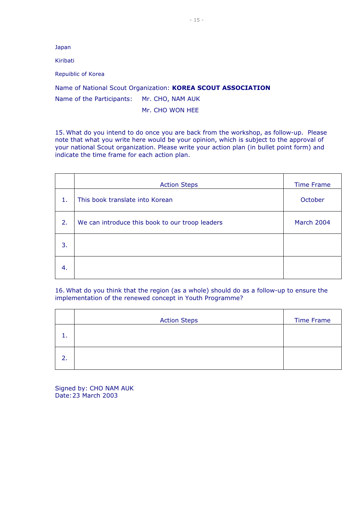Japan

Kiribati

Repuiblic of Korea

Name of National Scout Organization: **KOREA SCOUT ASSOCIATION**

Name of the Participants: Mr. CHO, NAM AUK

Mr. CHO WON HEE

15. What do you intend to do once you are back from the workshop, as follow-up. Please note that what you write here would be your opinion, which is subject to the approval of your national Scout organization. Please write your action plan (in bullet point form) and indicate the time frame for each action plan.

|    | <b>Action Steps</b>                             | <b>Time Frame</b> |
|----|-------------------------------------------------|-------------------|
| 1. | This book translate into Korean                 | October           |
| 2. | We can introduce this book to our troop leaders | March 2004        |
| 3. |                                                 |                   |
| 4. |                                                 |                   |

16. What do you think that the region (as a whole) should do as a follow-up to ensure the implementation of the renewed concept in Youth Programme?

|    | <b>Action Steps</b> | <b>Time Frame</b> |
|----|---------------------|-------------------|
| ı. |                     |                   |
| 2. |                     |                   |

Signed by: CHO NAM AUK Date:23 March 2003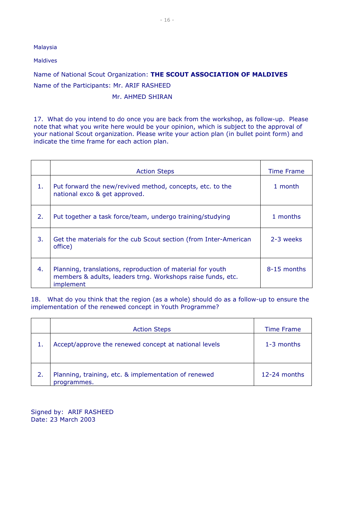Malaysia

Maldives

Name of National Scout Organization: **THE SCOUT ASSOCIATION OF MALDIVES** Name of the Participants: Mr. ARIF RASHEED

Mr. AHMED SHIRAN

17. What do you intend to do once you are back from the workshop, as follow-up. Please note that what you write here would be your opinion, which is subject to the approval of your national Scout organization. Please write your action plan (in bullet point form) and indicate the time frame for each action plan.

|    | <b>Action Steps</b>                                                                                                                    | <b>Time Frame</b> |
|----|----------------------------------------------------------------------------------------------------------------------------------------|-------------------|
| 1. | Put forward the new/revived method, concepts, etc. to the<br>national exco & get approved.                                             | 1 month           |
| 2. | Put together a task force/team, undergo training/studying                                                                              | 1 months          |
| 3. | Get the materials for the cub Scout section (from Inter-American<br>office)                                                            | 2-3 weeks         |
| 4. | Planning, translations, reproduction of material for youth<br>members & adults, leaders trng. Workshops raise funds, etc.<br>implement | 8-15 months       |

18. What do you think that the region (as a whole) should do as a follow-up to ensure the implementation of the renewed concept in Youth Programme?

|    | <b>Action Steps</b>                                                 | <b>Time Frame</b> |
|----|---------------------------------------------------------------------|-------------------|
| 1. | Accept/approve the renewed concept at national levels               | $1-3$ months      |
| 2. | Planning, training, etc. & implementation of renewed<br>programmes. | $12-24$ months    |

Signed by: ARIF RASHEED Date: 23 March 2003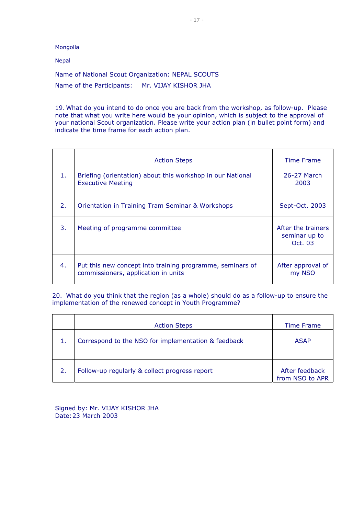Mongolia

Nepal

Name of National Scout Organization: NEPAL SCOUTS Name of the Participants: Mr. VIJAY KISHOR JHA

19. What do you intend to do once you are back from the workshop, as follow-up. Please note that what you write here would be your opinion, which is subject to the approval of your national Scout organization. Please write your action plan (in bullet point form) and indicate the time frame for each action plan.

|    | <b>Action Steps</b>                                                                              | <b>Time Frame</b>                              |
|----|--------------------------------------------------------------------------------------------------|------------------------------------------------|
| 1. | Briefing (orientation) about this workshop in our National<br><b>Executive Meeting</b>           | 26-27 March<br>2003                            |
| 2. | <b>Orientation in Training Tram Seminar &amp; Workshops</b>                                      | Sept-Oct. 2003                                 |
| 3. | Meeting of programme committee                                                                   | After the trainers<br>seminar up to<br>Oct. 03 |
| 4. | Put this new concept into training programme, seminars of<br>commissioners, application in units | After approval of<br>my NSO                    |

20. What do you think that the region (as a whole) should do as a follow-up to ensure the implementation of the renewed concept in Youth Programme?

|    | <b>Action Steps</b>                                 | Time Frame                        |
|----|-----------------------------------------------------|-----------------------------------|
|    | Correspond to the NSO for implementation & feedback | <b>ASAP</b>                       |
| 2. | Follow-up regularly & collect progress report       | After feedback<br>from NSO to APR |

Signed by: Mr. VIJAY KISHOR JHA Date:23 March 2003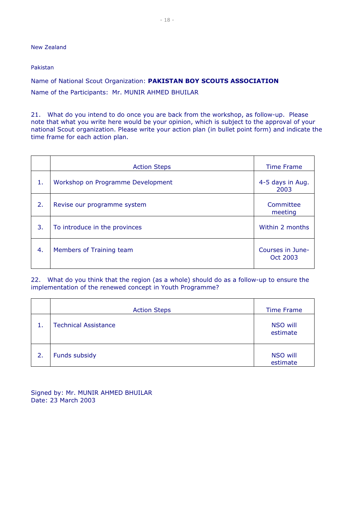New Zealand

Pakistan

Name of National Scout Organization: **PAKISTAN BOY SCOUTS ASSOCIATION** Name of the Participants: Mr. MUNIR AHMED BHUILAR

21. What do you intend to do once you are back from the workshop, as follow-up. Please note that what you write here would be your opinion, which is subject to the approval of your national Scout organization. Please write your action plan (in bullet point form) and indicate the time frame for each action plan.

|    | <b>Action Steps</b>               | <b>Time Frame</b>            |
|----|-----------------------------------|------------------------------|
| 1. | Workshop on Programme Development | 4-5 days in Aug.<br>2003     |
| 2. | Revise our programme system       | Committee<br>meeting         |
| 3. | To introduce in the provinces     | Within 2 months              |
| 4. | Members of Training team          | Courses in June-<br>Oct 2003 |

22. What do you think that the region (as a whole) should do as a follow-up to ensure the implementation of the renewed concept in Youth Programme?

|    | <b>Action Steps</b>         | <b>Time Frame</b>           |
|----|-----------------------------|-----------------------------|
|    | <b>Technical Assistance</b> | NSO will<br>estimate        |
| 2. | Funds subsidy               | <b>NSO will</b><br>estimate |

Signed by: Mr. MUNIR AHMED BHUILAR Date: 23 March 2003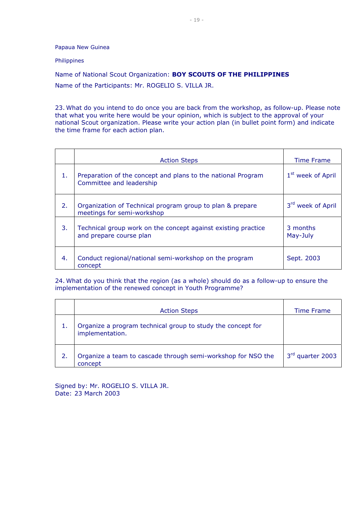Papaua New Guinea

#### Philippines

Name of National Scout Organization: **BOY SCOUTS OF THE PHILIPPINES** Name of the Participants: Mr. ROGELIO S. VILLA JR.

23. What do you intend to do once you are back from the workshop, as follow-up. Please note that what you write here would be your opinion, which is subject to the approval of your national Scout organization. Please write your action plan (in bullet point form) and indicate the time frame for each action plan.

|    | <b>Action Steps</b>                                                                      | <b>Time Frame</b>             |
|----|------------------------------------------------------------------------------------------|-------------------------------|
| 1. | Preparation of the concept and plans to the national Program<br>Committee and leadership | 1 <sup>st</sup> week of April |
| 2. | Organization of Technical program group to plan & prepare<br>meetings for semi-workshop  | 3 <sup>rd</sup> week of April |
| 3. | Technical group work on the concept against existing practice<br>and prepare course plan | 3 months<br>May-July          |
| 4. | Conduct regional/national semi-workshop on the program<br>concept                        | Sept. 2003                    |

24. What do you think that the region (as a whole) should do as a follow-up to ensure the implementation of the renewed concept in Youth Programme?

|    | <b>Action Steps</b>                                                            | Time Frame       |
|----|--------------------------------------------------------------------------------|------------------|
|    | Organize a program technical group to study the concept for<br>implementation. |                  |
| 2. | Organize a team to cascade through semi-workshop for NSO the<br>concept        | 3rd quarter 2003 |

Signed by: Mr. ROGELIO S. VILLA JR. Date: 23 March 2003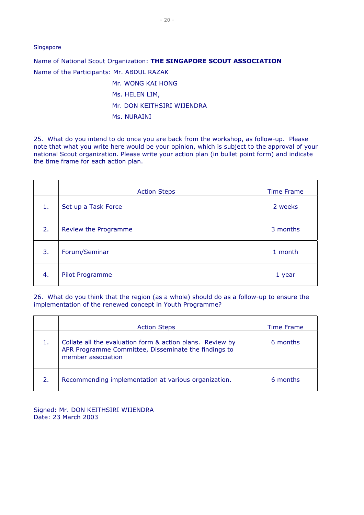Singapore

Name of National Scout Organization: **THE SINGAPORE SCOUT ASSOCIATION** Name of the Participants: Mr. ABDUL RAZAK

- Mr. WONG KAI HONG Ms. HELEN LIM,
- Mr. DON KEITHSIRI WIJENDRA
- Ms. NURAINI

25. What do you intend to do once you are back from the workshop, as follow-up. Please note that what you write here would be your opinion, which is subject to the approval of your national Scout organization. Please write your action plan (in bullet point form) and indicate the time frame for each action plan.

|    | <b>Action Steps</b>  | <b>Time Frame</b> |
|----|----------------------|-------------------|
| 1. | Set up a Task Force  | 2 weeks           |
| 2. | Review the Programme | 3 months          |
| 3. | Forum/Seminar        | 1 month           |
| 4. | Pilot Programme      | 1 year            |

26. What do you think that the region (as a whole) should do as a follow-up to ensure the implementation of the renewed concept in Youth Programme?

|    | <b>Action Steps</b>                                                                                                                     | <b>Time Frame</b> |
|----|-----------------------------------------------------------------------------------------------------------------------------------------|-------------------|
|    | Collate all the evaluation form & action plans. Review by<br>APR Programme Committee, Disseminate the findings to<br>member association | 6 months          |
| 2. | Recommending implementation at various organization.                                                                                    | 6 months          |

Signed: Mr. DON KEITHSIRI WIJENDRA Date: 23 March 2003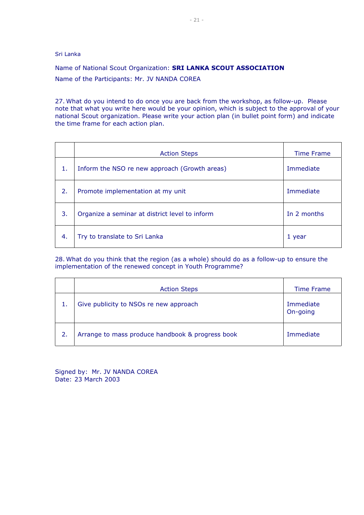Sri Lanka

Name of National Scout Organization: **SRI LANKA SCOUT ASSOCIATION** Name of the Participants: Mr. JV NANDA COREA

27. What do you intend to do once you are back from the workshop, as follow-up. Please note that what you write here would be your opinion, which is subject to the approval of your national Scout organization. Please write your action plan (in bullet point form) and indicate the time frame for each action plan.

|    | <b>Action Steps</b>                            | <b>Time Frame</b> |
|----|------------------------------------------------|-------------------|
| 1. | Inform the NSO re new approach (Growth areas)  | Immediate         |
| 2. | Promote implementation at my unit              | Immediate         |
| 3. | Organize a seminar at district level to inform | In 2 months       |
| 4. | Try to translate to Sri Lanka                  | 1 year            |

28. What do you think that the region (as a whole) should do as a follow-up to ensure the implementation of the renewed concept in Youth Programme?

|    | <b>Action Steps</b>                              | <b>Time Frame</b>     |
|----|--------------------------------------------------|-----------------------|
| 1. | Give publicity to NSOs re new approach           | Immediate<br>On-going |
| 2. | Arrange to mass produce handbook & progress book | Immediate             |

Signed by: Mr. JV NANDA COREA Date: 23 March 2003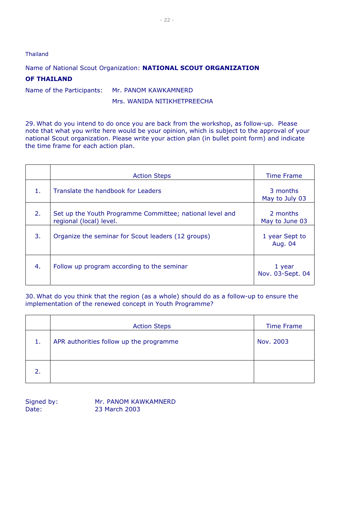#### Thailand

Name of National Scout Organization: **NATIONAL SCOUT ORGANIZATION**

#### **OF THAILAND**

Name of the Participants: Mr. PANOM KAWKAMNERD

Mrs. WANIDA NITIKHETPREECHA

29. What do you intend to do once you are back from the workshop, as follow-up. Please note that what you write here would be your opinion, which is subject to the approval of your national Scout organization. Please write your action plan (in bullet point form) and indicate the time frame for each action plan.

|    | <b>Action Steps</b>                                                                 | <b>Time Frame</b>          |
|----|-------------------------------------------------------------------------------------|----------------------------|
| 1. | Translate the handbook for Leaders                                                  | 3 months<br>May to July 03 |
| 2. | Set up the Youth Programme Committee; national level and<br>regional (local) level. | 2 months<br>May to June 03 |
| 3. | Organize the seminar for Scout leaders (12 groups)                                  | 1 year Sept to<br>Aug. 04  |
| 4. | Follow up program according to the seminar                                          | 1 year<br>Nov. 03-Sept. 04 |

30. What do you think that the region (as a whole) should do as a follow-up to ensure the implementation of the renewed concept in Youth Programme?

|    | <b>Action Steps</b>                     | <b>Time Frame</b> |
|----|-----------------------------------------|-------------------|
| 1. | APR authorities follow up the programme | Nov. 2003         |
| 2. |                                         |                   |

Signed by: Mr. PANOM KAWKAMNERD Date: 23 March 2003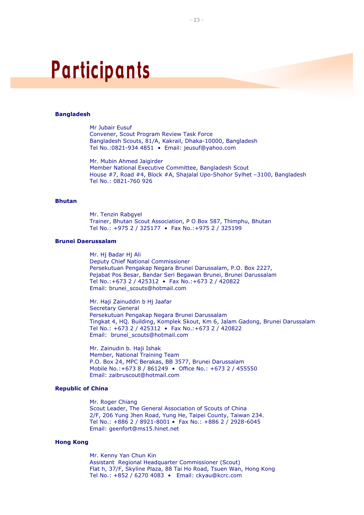#### **Bangladesh**

Mr Jubair Eusuf Convener, Scout Program Review Task Force Bangladesh Scouts, 81/A, Kakrail, Dhaka-10000, Bangladesh Tel No.:0821-934 4851 • Email: jeusuf@yahoo.com

Mr. Mubin Ahmed Jaigirder Member National Executive Committee, Bangladesh Scout House #7, Road #4, Block #A, Shajalal Upo-Shohor Sylhet –3100, Bangladesh Tel No.: 0821-760 926

#### **Bhutan**

Mr. Tenzin Rabgyel Trainer, Bhutan Scout Association, P O Box 587, Thimphu, Bhutan Tel No.: +975 2 / 325177 • Fax No.:+975 2 / 325199

#### **Brunei Daerussalam**

Mr. Hj Badar Hj Ali Deputy Chief National Commissioner Persekutuan Pengakap Negara Brunei Darussalam, P.O. Box 2227, Pejabat Pos Besar, Bandar Seri Begawan Brunei, Brunei Darussalam Tel No.:+673 2 / 425312 • Fax No.:+673 2 / 420822 Email: brunei\_scouts@hotmail.com

Mr. Haji Zainuddin b Hj Jaafar Secretary General Persekutuan Pengakap Negara Brunei Darussalam Tingkat 4, HQ. Building, Komplek Skout, Km 6, Jalam Gadong, Brunei Darussalam Tel No.: +673 2 / 425312 • Fax No.:+673 2 / 420822 Email: brunei\_scouts@hotmail.com

Mr. Zainudin b. Haji Ishak Member, National Training Team P.O. Box 24, MPC Berakas, BB 3577, Brunei Darussalam Mobile No.:+673 8 / 861249 • Office No.: +673 2 / 455550 Email: zaibruscout@hotmail.com

#### **Republic of China**

Mr. Roger Chiang Scout Leader, The General Association of Scouts of China 2/F, 206 Yung Jhen Road, Yung He, Taipei County, Taiwan 234. Tel No.: +886 2 / 8921-8001 • Fax No.: +886 2 / 2928-6045 Email: geenfort@ms15.hinet.net

#### **Hong Kong**

Mr. Kenny Yan Chun Kin Assistant Regional Headquarter Commissioner (Scout) Flat h, 37/F, Skyline Plaza, 88 Tai Ho Road, Tsuen Wan, Hong Kong Tel No.: +852 / 6270 4083 • Email: ckyau@kcrc.com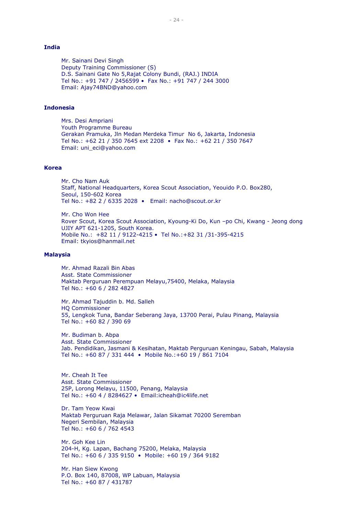#### **India**

Mr. Sainani Devi Singh Deputy Training Commissioner (S) D.S. Sainani Gate No 5,Rajat Colony Bundi, (RAJ.) INDIA Tel No.: +91 747 / 2456599 • Fax No.: +91 747 / 244 3000 Email: Ajay74BND@yahoo.com

#### **Indonesia**

Mrs. Desi Ampriani Youth Programme Bureau Gerakan Pramuka, Jln Medan Merdeka Timur No 6, Jakarta, Indonesia Tel No.: +62 21 / 350 7645 ext 2208 • Fax No.: +62 21 / 350 7647 Email: uni\_eci@yahoo.com

#### **Korea**

Mr. Cho Nam Auk Staff, National Headquarters, Korea Scout Association, Yeouido P.O. Box280, Seoul, 150-602 Korea Tel No.: +82 2 / 6335 2028 • Email: nacho@scout.or.kr

Mr. Cho Won Hee Rover Scout, Korea Scout Association, Kyoung-Ki Do, Kun –po Chi, Kwang - Jeong dong UJIY APT 621-1205, South Korea. Mobile No.: +82 11 / 9122-4215 • Tel No.:+82 31 /31-395-4215 Email: tkyios@hanmail.net

#### **Malaysia**

Mr. Ahmad Razali Bin Abas Asst. State Commissioner Maktab Perguruan Perempuan Melayu,75400, Melaka, Malaysia Tel No.: +60 6 / 282 4827

Mr. Ahmad Tajuddin b. Md. Salleh HQ Commissioner 55, Lengkok Tuna, Bandar Seberang Jaya, 13700 Perai, Pulau Pinang, Malaysia Tel No.: +60 82 / 390 69

Mr. Budiman b. Abpa Asst. State Commissioner Jab. Pendidikan, Jasmani & Kesihatan, Maktab Perguruan Keningau, Sabah, Malaysia Tel No.: +60 87 / 331 444 • Mobile No.:+60 19 / 861 7104

Mr. Cheah It Tee Asst. State Commissioner 25P, Lorong Melayu, 11500, Penang, Malaysia Tel No.: +60 4 / 8284627 • Email:icheah@ic4life.net

Dr. Tam Yeow Kwai Maktab Perguruan Raja Melawar, Jalan Sikamat 70200 Seremban Negeri Sembilan, Malaysia Tel No.: +60 6 / 762 4543

Mr. Goh Kee Lin 204-H, Kg. Lapan, Bachang 75200, Melaka, Malaysia Tel No.: +60 6 / 335 9150 • Mobile: +60 19 / 364 9182

Mr. Han Siew Kwong P.O. Box 140, 87008, WP Labuan, Malaysia Tel No.: +60 87 / 431787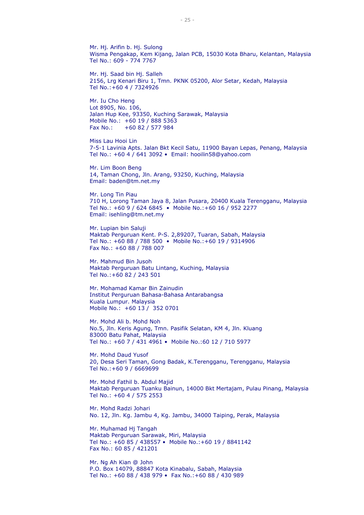Mr. Hj. Arifin b. Hj. Sulong Wisma Pengakap, Kem Kijang, Jalan PCB, 15030 Kota Bharu, Kelantan, Malaysia Tel No.: 609 - 774 7767

Mr. Hj. Saad bin Hj. Salleh 2156, Lrg Kenari Biru 1, Tmn. PKNK 05200, Alor Setar, Kedah, Malaysia Tel No.:+60 4 / 7324926

Mr. Iu Cho Heng Lot 8905, No. 106, Jalan Hup Kee, 93350, Kuching Sarawak, Malaysia Mobile No.: +60 19 / 888 5363 Fax No.: +60 82 / 577 984

Miss Lau Hooi Lin 7-5-1 Lavinia Apts. Jalan Bkt Kecil Satu, 11900 Bayan Lepas, Penang, Malaysia Tel No.: +60 4 / 641 3092 • Email: hooilin58@yahoo.com

Mr. Lim Boon Beng 14, Taman Chong, Jln. Arang, 93250, Kuching, Malaysia Email: baden@tm.net.my

Mr. Long Tin Piau 710 H, Lorong Taman Jaya 8, Jalan Pusara, 20400 Kuala Terengganu, Malaysia Tel No.: +60 9 / 624 6845 • Mobile No.:+60 16 / 952 2277 Email: isehling@tm.net.my

Mr. Lupian bin Saluji Maktab Perguruan Kent. P-S. 2,89207, Tuaran, Sabah, Malaysia Tel No.: +60 88 / 788 500 • Mobile No.:+60 19 / 9314906 Fax No.: +60 88 / 788 007

Mr. Mahmud Bin Jusoh Maktab Perguruan Batu Lintang, Kuching, Malaysia Tel No.:+60 82 / 243 501

Mr. Mohamad Kamar Bin Zainudin Institut Perguruan Bahasa-Bahasa Antarabangsa Kuala Lumpur. Malaysia Mobile No.: +60 13 / 352 0701

Mr. Mohd Ali b. Mohd Noh No.5, Jln. Keris Agung, Tmn. Pasifik Selatan, KM 4, Jln. Kluang 83000 Batu Pahat, Malaysia Tel No.: +60 7 / 431 4961 • Mobile No.:60 12 / 710 5977

Mr. Mohd Daud Yusof 20, Desa Seri Taman, Gong Badak, K.Terengganu, Terengganu, Malaysia Tel No.:+60 9 / 6669699

Mr. Mohd Fathil b. Abdul Majid Maktab Perguruan Tuanku Bainun, 14000 Bkt Mertajam, Pulau Pinang, Malaysia Tel No.: +60 4 / 575 2553

Mr. Mohd Radzi Johari No. 12, Jln. Kg. Jambu 4, Kg. Jambu, 34000 Taiping, Perak, Malaysia

Mr. Muhamad Hj Tangah Maktab Perguruan Sarawak, Miri, Malaysia Tel No.: +60 85 / 438557 • Mobile No.:+60 19 / 8841142 Fax No.: 60 85 / 421201

Mr. Ng Ah Kian @ John P.O. Box 14079, 88847 Kota Kinabalu, Sabah, Malaysia Tel No.: +60 88 / 438 979 • Fax No.:+60 88 / 430 989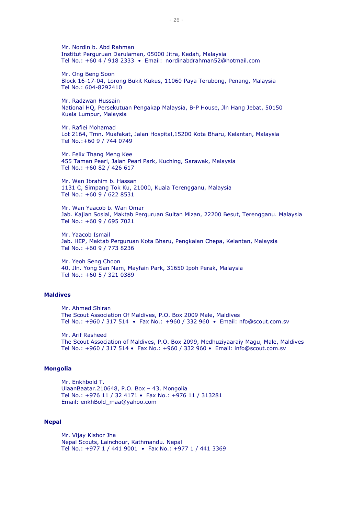Mr. Nordin b. Abd Rahman Institut Perguruan Darulaman, 05000 Jitra, Kedah, Malaysia Tel No.: +60 4 / 918 2333 • Email: nordinabdrahman52@hotmail.com

Mr. Ong Beng Soon Block 16-17-04, Lorong Bukit Kukus, 11060 Paya Terubong, Penang, Malaysia Tel No.: 604-8292410

Mr. Radzwan Hussain National HQ, Persekutuan Pengakap Malaysia, B-P House, Jln Hang Jebat, 50150 Kuala Lumpur, Malaysia

Mr. Rafiei Mohamad Lot 2164, Tmn. Muafakat, Jalan Hospital,15200 Kota Bharu, Kelantan, Malaysia Tel No.:+60 9 / 744 0749

Mr. Felix Thang Meng Kee 455 Taman Pearl, Jalan Pearl Park, Kuching, Sarawak, Malaysia Tel No.: +60 82 / 426 617

Mr. Wan Ibrahim b. Hassan 1131 C, Simpang Tok Ku, 21000, Kuala Terengganu, Malaysia Tel No.: +60 9 / 622 8531

Mr. Wan Yaacob b. Wan Omar Jab. Kajian Sosial, Maktab Perguruan Sultan Mizan, 22200 Besut, Terengganu. Malaysia Tel No.: +60 9 / 695 7021

Mr. Yaacob Ismail Jab. HEP, Maktab Perguruan Kota Bharu, Pengkalan Chepa, Kelantan, Malaysia Tel No.: +60 9 / 773 8236

Mr. Yeoh Seng Choon 40, Jln. Yong San Nam, Mayfain Park, 31650 Ipoh Perak, Malaysia Tel No.: +60 5 / 321 0389

#### **Maldives**

Mr. Ahmed Shiran The Scout Association Of Maldives, P.O. Box 2009 Male, Maldives Tel No.: +960 / 317 514 • Fax No.: +960 / 332 960 • Email: nfo@scout.com.sv

Mr. Arif Rasheed The Scout Association of Maldives, P.O. Box 2099, Medhuziyaaraiy Magu, Male, Maldives Tel No.: +960 / 317 514 • Fax No.: +960 / 332 960 • Email: info@scout.com.sv

#### **Mongolia**

Mr. Enkhbold T. UlaanBaatar.210648, P.O. Box – 43, Mongolia Tel No.: +976 11 / 32 4171 • Fax No.: +976 11 / 313281 Email: enkhBold\_maa@yahoo.com

#### **Nepal**

Mr. Vijay Kishor Jha Nepal Scouts, Lainchour, Kathmandu. Nepal Tel No.: +977 1 / 441 9001 • Fax No.: +977 1 / 441 3369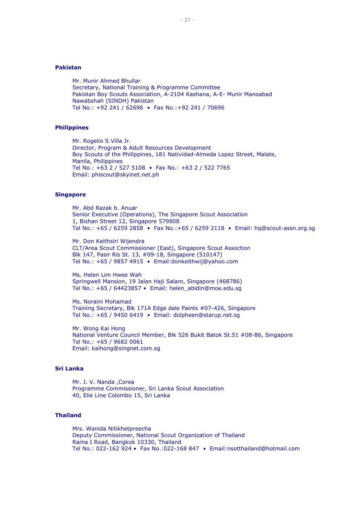#### **Pakistan**

Mr. Munir Ahmed Bhullar Secretary, National Training & Programme Committee Pakistan Boy Scouts Association, A-2104 Kashana, A-E- Munir Manoabad Nawabshah (SINDH) Pakistan Tel No.: +92 241 / 62696 • Fax No.:+92 241 / 70696

#### **Philippines**

Mr. Rogelio S.Villa Jr. Director, Program & Adult Resources Development Boy Scouts of the Philippines, 181 Natividad-Almeda Lopez Street, Malate, Manila, Philippines Tel No.: +63 2 / 527 5108 • Fax No.: +63 2 / 522 7765 Email: phiscout@skyinet.net.ph

#### **Singapore**

Mr. Abd Razak b. Anuar Senior Executive (Operations), The Singapore Scout Association 1, Bishan Street 12, Singapore 579808 Tel No.: +65 / 6259 2858 • Fax No.:+65 / 6259 2118 • Email: hq@scout-assn.org.sg

Mr. Don Keithsiri Wijendra CLT/Area Scout Commissioner (East), Singapore Scout Assoction Blk 147, Pasir Ris St. 13, #09-18, Singapore (510147) Tel No.: +65 / 9857 4915 • Email:donkeithwij@yahoo.com

Ms. Helen Lim Hwee Wah Springwell Mansion, 19 Jalan Haji Salam, Singapore (468786) Tel No.: +65 / 64423857 • Email: helen\_abidin@moe.edu.sg

Ms. Noraini Mohamad Training Secretary, Blk 171A Edge dale Paints #07-426, Singapore Tel No.: +65 / 9450 6419 • Email: dolpheen@starup.net.sg

Mr. Wong Kai Hong National Venture Council Member, Blk 526 Bukit Batok St.51 #08-86, Singapore Tel No.: +65 / 9682 0061 Email: kaihong@singnet.com.sg

#### **Sri Lanka**

Mr. J. V. Nanda ,Corea Programme Commissioner, Sri Lanka Scout Association 40, Elie Line Colombo 15, Sri Lanka

#### **Thailand**

Mrs. Wanida Nitikhetpreecha Deputy Commissioner, National Scout Organization of Thailand Rama I Road, Bangkok 10330, Thailand Tel No.: 022-162 924 • Fax No.:022-168 847 • Email:nsotthailand@hotmail.com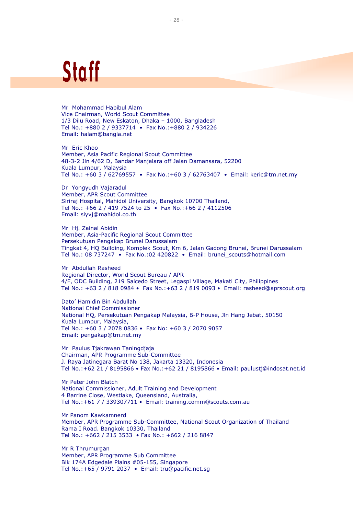## Staff

Mr Mohammad Habibul Alam Vice Chairman, World Scout Committee 1/3 Dilu Road, New Eskaton, Dhaka – 1000, Bangladesh Tel No.: +880 2 / 9337714 • Fax No.:+880 2 / 934226 Email: halam@bangla.net

Mr Eric Khoo Member, Asia Pacific Regional Scout Committee 48-3-2 Jln 4/62 D, Bandar Manjalara off Jalan Damansara, 52200 Kuala Lumpur, Malaysia Tel No.: +60 3 / 62769557 • Fax No.:+60 3 / 62763407 • Email: keric@tm.net.my

Dr Yongyudh Vajaradul Member, APR Scout Committee Siriraj Hospital, Mahidol University, Bangkok 10700 Thailand, Tel No.: +66 2 / 419 7524 to 25 • Fax No.:+66 2 / 4112506 Email: siyvj@mahidol.co.th

Mr Hj. Zainal Abidin Member, Asia-Pacific Regional Scout Committee Persekutuan Pengakap Brunei Darussalam Tingkat 4, HQ Building, Komplek Scout, Km 6, Jalan Gadong Brunei, Brunei Darussalam Tel No.: 08 737247 • Fax No.:02 420822 • Email: brunei\_scouts@hotmail.com

Mr Abdullah Rasheed Regional Director, World Scout Bureau / APR 4/F, ODC Building, 219 Salcedo Street, Legaspi Village, Makati City, Philippines Tel No.: +63 2 / 818 0984 • Fax No.:+63 2 / 819 0093 • Email: rasheed@aprscout.org

Dato' Hamidin Bin Abdullah National Chief Commissioner National HQ, Persekutuan Pengakap Malaysia, B-P House, Jln Hang Jebat, 50150 Kuala Lumpur, Malaysia, Tel No.: +60 3 / 2078 0836 • Fax No: +60 3 / 2070 9057 Email: pengakap@tm.net.my

Mr Paulus Tjakrawan Taningdjaja Chairman, APR Programme Sub-Committee J. Raya Jatinegara Barat No 138, Jakarta 13320, Indonesia Tel No.:+62 21 / 8195866 • Fax No.:+62 21 / 8195866 • Email: paulustj@indosat.net.id

Mr Peter John Blatch National Commissioner, Adult Training and Development 4 Barrine Close, Westlake, Queensland, Australia, Tel No.:+61 7 / 339307711 • Email: training.comm@scouts.com.au

Mr Panom Kawkamnerd Member, APR Programme Sub-Committee, National Scout Organization of Thailand Rama I Road. Bangkok 10330, Thailand Tel No.: +662 / 215 3533 • Fax No.: +662 / 216 8847

Mr R Thrumurgan Member, APR Programme Sub Committee Blk 174A Edgedale Plains #05-155, Singapore Tel No.:+65 / 9791 2037 • Email: tru@pacific.net.sg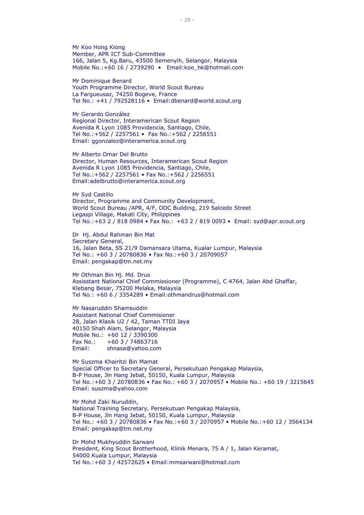Mr Koo Hong Kiong Member, APR ICT Sub-Committee 166, Jalan 5, Kg.Baru, 43500 Semenyih, Selangor, Malaysia Mobile No.:+60 16 / 2739290 • Email:koo\_hk@hotmail.com

Mr Dominique Benard Youth Programme Director, World Scout Bureau La Fargueusaz, 74250 Bogeve, France Tel No.: +41 / 792528116 • Email:dbenard@world.scout.org

Mr Gerardo González Regional Director, Interamerican Scout Region Avenida R Lyon 1085 Providencia, Santiago, Chile, Tel No.:+562 / 2257561 • Fax No.:+562 / 2256551 Email: ggonzalez@interamerica.scout.org

Mr Alberto Omar Del Brutto Director, Human Resources, Interamerican Scout Region Avenida R Lyon 1085 Providencia, Santiago, Chile, Tel No.:+562 / 2257561 • Fax No.:+562 / 2256551 Email:adelbrutto@interamerica.scout.org

Mr Syd Castillo Director, Programme and Community Development, World Scout Bureau /APR, 4/F, ODC Building, 219 Salcedo Street Legaspi Village, Makati City, Philippines Tel No.:+63 2 / 818 0984 • Fax No.: +63 2 / 819 0093 • Email: syd@apr.scout.org

Dr Hj. Abdul Rahman Bin Mat Secretary General, 16, Jalan Beta, SS 21/9 Damansara Utama, Kualar Lumpur, Malaysia Tel No.: +60 3 / 20780836 • Fax No.:+60 3 / 20709057 Email: pengakap@tm.net.my

Mr Othman Bin Hj. Md. Drus Assisstant National Chief Commissioner (Programme), C 4764, Jalan Abd Ghaffar, Klebang Besar, 75200 Melaka, Malaysia Tel No.: +60 6 / 3354289 • Email:othmandrus@hotmail.com

Mr Nasaruddin Shamsuddin Assistant National Chief Commisioner 28, Jalan Klasik U2 / 42, Taman TTDI Jaya 40150 Shah Alam, Selangor, Malaysia Mobile No.: +60 12 / 3390300 Fax No.: +60 3 / 74863716 Email: shnasa@yahoo.com

Mr Suszma Khairitzi Bin Mamat Special Officer to Secretary General, Persekutuan Pengakap Malaysia, B-P House, Jln Hang Jebat, 50150, Kuala Lumpur, Malaysia Tel No.:+60 3 / 20780836 • Fax No.: +60 3 / 2070957 • Mobile No.: +60 19 / 3215645 Email: suszma@yahoo.com

Mr Mohd Zaki Nuruddin, National Training Secretary, Persekutuan Pengakap Malaysia, B-P House, Jln Hang Jebat, 50150, Kuala Lumpur, Malaysia Tel No.: +60 3 / 20780836 • Fax No.:+60 3 / 2070957 • Mobile No.:+60 12 / 3564134 Email: pengakap@tm.net.my

Dr Mohd Mukhyuddin Sarwani President, King Scout Brotherhood, Klinik Menara, 75 A / 1, Jalan Keramat, 54000 Kuala Lumpur, Malaysia Tel No.:+60 3 / 42572625 • Email:mmsarwani@hotmail.com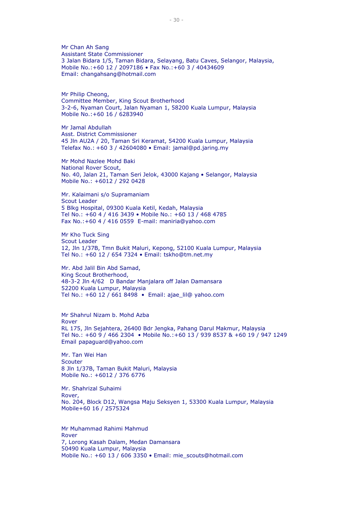Mr Chan Ah Sang Assistant State Commissioner 3 Jalan Bidara 1/5, Taman Bidara, Selayang, Batu Caves, Selangor, Malaysia, Mobile No.:+60 12 / 2097186 • Fax No.:+60 3 / 40434609 Email: changahsang@hotmail.com

Mr Philip Cheong, Committee Member, King Scout Brotherhood 3-2-6, Nyaman Court, Jalan Nyaman 1, 58200 Kuala Lumpur, Malaysia Mobile No.:+60 16 / 6283940

Mr Jamal Abdullah Asst. District Commissioner 45 Jln AU2A / 20, Taman Sri Keramat, 54200 Kuala Lumpur, Malaysia Telefax No.: +60 3 / 42604080 • Email: jamal@pd.jaring.my

Mr Mohd Nazlee Mohd Baki National Rover Scout, No. 40, Jalan 21, Taman Seri Jelok, 43000 Kajang • Selangor, Malaysia Mobile No.: +6012 / 292 0428

Mr. Kalaimani s/o Supramaniam Scout Leader 5 Blkg Hospital, 09300 Kuala Ketil, Kedah, Malaysia Tel No.: +60 4 / 416 3439 • Mobile No.: +60 13 / 468 4785 Fax No.:+60 4 / 416 0559 E-mail: maniria@yahoo.com

Mr Kho Tuck Sing Scout Leader 12, Jln 1/37B, Tmn Bukit Maluri, Kepong, 52100 Kuala Lumpur, Malaysia Tel No.: +60 12 / 654 7324 • Email: tskho@tm.net.my

Mr. Abd Jalil Bin Abd Samad, King Scout Brotherhood, 48-3-2 Jln 4/62 D Bandar Manjalara off Jalan Damansara 52200 Kuala Lumpur, Malaysia Tel No.: +60 12 / 661 8498 • Email: ajae\_lil@ yahoo.com

Mr Shahrul Nizam b. Mohd Azba Rover RL 175, Jln Sejahtera, 26400 Bdr Jengka, Pahang Darul Makmur, Malaysia Tel No.: +60 9 / 466 2304 • Mobile No.:+60 13 / 939 8537 & +60 19 / 947 1249 Email papaguard@yahoo.com

Mr. Tan Wei Han **Scouter** 8 Jln 1/37B, Taman Bukit Maluri, Malaysia Mobile No.: +6012 / 376 6776

Mr. Shahrizal Suhaimi Rover, No. 204, Block D12, Wangsa Maju Seksyen 1, 53300 Kuala Lumpur, Malaysia Mobile+60 16 / 2575324

Mr Muhammad Rahimi Mahmud Rover 7, Lorong Kasah Dalam, Medan Damansara 50490 Kuala Lumpur, Malaysia Mobile No.: +60 13 / 606 3350 • Email: mie\_scouts@hotmail.com